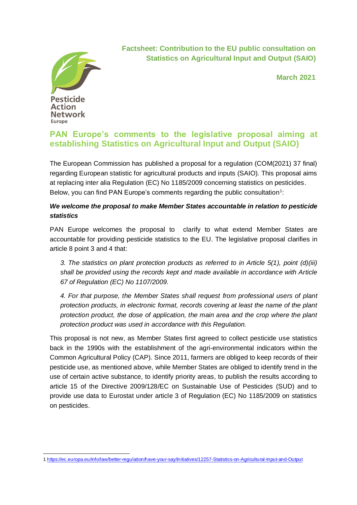

**Factsheet: Contribution to the EU public consultation on Statistics on Agricultural Input and Output (SAIO)**

**March 2021**

# **PAN Europe's comments to the legislative proposal aiming at establishing Statistics on Agricultural Input and Output (SAIO)**

The European Commission has published a proposal for a regulation (COM(2021) 37 final) regarding European statistic for agricultural products and inputs (SAIO). This proposal aims at replacing inter alia Regulation (EC) No 1185/2009 concerning statistics on pesticides. Below, you can find PAN Europe's comments regarding the public consultation<sup>1</sup>:

### *1. We welcome the proposal to make Member States accountable in relation to pesticide statistics*

*2.* PAN Europe welcomes the proposal to clarify to what extend Member States are accountable for providing pesticide statistics to the EU. The legislative proposal clarifies in article 8 point 3 and 4 that:

*3. The statistics on plant protection products as referred to in Article 5(1), point (d)(iii) shall be provided using the records kept and made available in accordance with Article 67 of Regulation (EC) No 1107/2009.* 

*4. For that purpose, the Member States shall request from professional users of plant protection products, in electronic format, records covering at least the name of the plant protection product, the dose of application, the main area and the crop where the plant protection product was used in accordance with this Regulation.* 

This proposal is not new, as Member States first agreed to collect pesticide use statistics back in the 1990s with the establishment of the agri-environmental indicators within the Common Agricultural Policy (CAP). Since 2011, farmers are obliged to keep records of their pesticide use, as mentioned above, while Member States are obliged to identify trend in the use of certain active substance, to identify priority areas, to publish the results according to article 15 of the Directive 2009/128/EC on Sustainable Use of Pesticides (SUD) and to provide use data to Eurostat under article 3 of Regulation (EC) No 1185/2009 on statistics on pesticides.

<sup>1</sup> <https://ec.europa.eu/info/law/better-regulation/have-your-say/initiatives/12257-Statistics-on-Agricultural-Input-and-Output>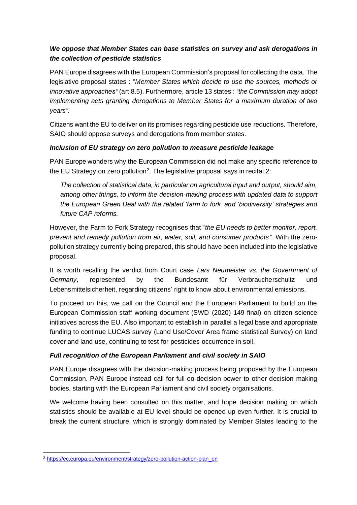## *3. We oppose that Member States can base statistics on survey and ask derogations in the collection of pesticide statistics*

PAN Europe disagrees with the European Commission's proposal for collecting the data. The legislative proposal states : "*Member States which decide to use the sources, methods or innovative approaches"* (art.8.5). Furthermore, article 13 states *: "the Commission may adopt implementing acts granting derogations to Member States for a maximum duration of two years".* 

Citizens want the EU to deliver on its promises regarding pesticide use reductions. Therefore, SAIO should oppose surveys and derogations from member states.

#### *4. Inclusion of EU strategy on zero pollution to measure pesticide leakage*

PAN Europe wonders why the European Commission did not make any specific reference to the EU Strategy on zero pollution<sup>2</sup>. The legislative proposal says in recital 2:

*The collection of statistical data, in particular on agricultural input and output, should aim, among other things, to inform the decision-making process with updated data to support the European Green Deal with the related 'farm to fork' and 'biodiversity' strategies and future CAP reforms.*

However, the Farm to Fork Strategy recognises that "*the EU needs to better monitor, report, prevent and remedy pollution from air, water, soil, and consumer products"*. With the zeropollution strategy currently being prepared, this should have been included into the legislative proposal.

It is worth recalling the verdict from Court case *Lars Neumeister vs. the Government of Germany,* represented by the Bundesamt für Verbraucherschultz und Lebensmittelsicherheit, regarding citizens' right to know about environmental emissions.

To proceed on this, we call on the Council and the European Parliament to build on the European Commission staff working document (SWD (2020) 149 final) on citizen science initiatives across the EU. Also important to establish in parallel a legal base and appropriate funding to continue LUCAS survey (Land Use/Cover Area frame statistical Survey) on land cover and land use, continuing to test for pesticides occurrence in soil.

#### *5. Full recognition of the European Parliament and civil society in SAIO*

PAN Europe disagrees with the decision-making process being proposed by the European Commission. PAN Europe instead call for full co-decision power to other decision making bodies, starting with the European Parliament and civil society organisations.

We welcome having been consulted on this matter, and hope decision making on which statistics should be available at EU level should be opened up even further. It is crucial to break the current structure, which is strongly dominated by Member States leading to the

<sup>2</sup> [https://ec.europa.eu/environment/strategy/zero-pollution-action-plan\\_en](https://ec.europa.eu/environment/strategy/zero-pollution-action-plan_en)